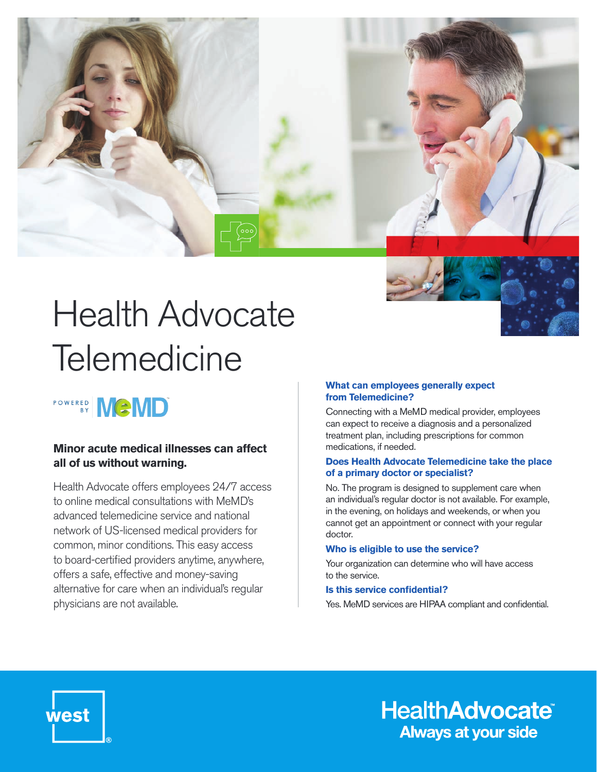

# Health Advocate **Telemedicine**

## POWERED MCMD

#### **Minor acute medical illnesses can affect all of us without warning.**

Health Advocate offers employees 24/7 access to online medical consultations with MeMD's advanced telemedicine service and national network of US-licensed medical providers for common, minor conditions. This easy access to board-certified providers anytime, anywhere, offers a safe, effective and money-saving alternative for care when an individual's regular physicians are not available.

#### **What can employees generally expect from Telemedicine?**

Connecting with a MeMD medical provider, employees can expect to receive a diagnosis and a personalized treatment plan, including prescriptions for common medications, if needed.

#### **Does Health Advocate Telemedicine take the place of a primary doctor or specialist?**

No. The program is designed to supplement care when an individual's regular doctor is not available. For example, in the evening, on holidays and weekends, or when you cannot get an appointment or connect with your regular doctor.

#### **Who is eligible to use the service?**

Your organization can determine who will have access to the service.

#### **Is this service confidential?**

Yes. MeMD services are HIPAA compliant and confidential.



**HealthAdvocate® Always at your side**